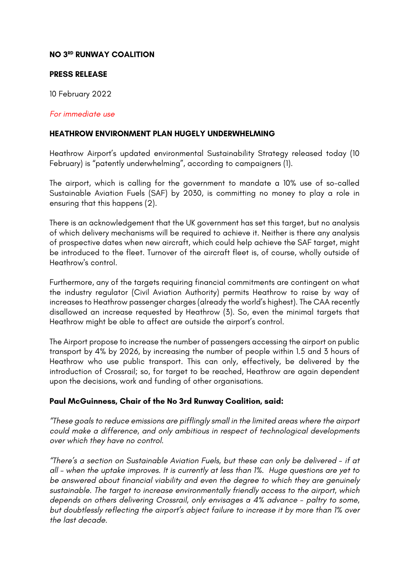# **NO 3RD RUNWAY COALITION**

### **PRESS RELEASE**

10 February 2022

#### *For immediate use*

#### **HEATHROW ENVIRONMENT PLAN HUGELY UNDERWHELMING**

Heathrow Airport's updated environmental Sustainability Strategy released today (10 February) is "patently underwhelming", according to campaigners (1).

The airport, which is calling for the government to mandate a 10% use of so-called Sustainable Aviation Fuels (SAF) by 2030, is committing no money to play a role in ensuring that this happens (2).

There is an acknowledgement that the UK government has set this target, but no analysis of which delivery mechanisms will be required to achieve it. Neither is there any analysis of prospective dates when new aircraft, which could help achieve the SAF target, might be introduced to the fleet. Turnover of the aircraft fleet is, of course, wholly outside of Heathrow's control.

Furthermore, any of the targets requiring financial commitments are contingent on what the industry regulator (Civil Aviation Authority) permits Heathrow to raise by way of increases to Heathrow passenger charges (already the world's highest). The CAA recently disallowed an increase requested by Heathrow (3). So, even the minimal targets that Heathrow might be able to affect are outside the airport's control.

The Airport propose to increase the number of passengers accessing the airport on public transport by 4% by 2026, by increasing the number of people within 1.5 and 3 hours of Heathrow who use public transport. This can only, effectively, be delivered by the introduction of Crossrail; so, for target to be reached, Heathrow are again dependent upon the decisions, work and funding of other organisations.

## **Paul McGuinness, Chair of the No 3rd Runway Coalition, said:**

*"These goals to reduce emissions are pifflingly small in the limited areas where the airport could make a difference, and only ambitious in respect of technological developments over which they have no control.*

*"There's a section on Sustainable Aviation Fuels, but these can only be delivered - if at all – when the uptake improves. It is currently at less than 1%. Huge questions are yet to be answered about financial viability and even the degree to which they are genuinely sustainable. The target to increase environmentally friendly access to the airport, which depends on others delivering Crossrail, only envisages a 4% advance - paltry to some, but doubtlessly reflecting the airport's abject failure to increase it by more than 1% over the last decade.*